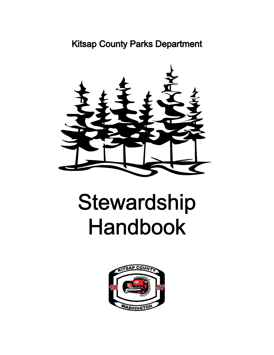# **Kitsap County Parks Department**



# Stewardship **Handbook**

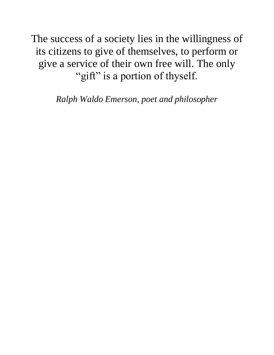The success of a society lies in the willingness of its citizens to give of themselves, to perform or give a service of their own free will. The only "gift" is a portion of thyself.

*Ralph Waldo Emerson, poet and philosopher*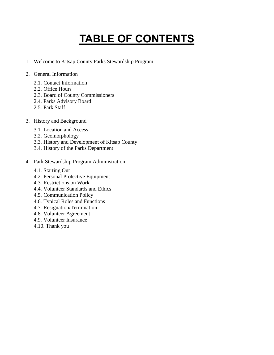# **TABLE OF CONTENTS**

- 1. Welcome to Kitsap County Parks Stewardship Program
- 2. General Information
	- 2.1. Contact Information
	- 2.2. Office Hours
	- 2.3. Board of County Commissioners
	- 2.4. Parks Advisory Board
	- 2.5. Park Staff
- 3. History and Background
	- 3.1. Location and Access
	- 3.2. Geomorphology
	- 3.3. History and Development of Kitsap County
	- 3.4. History of the Parks Department
- 4. Park Stewardship Program Administration
	- 4.1. Starting Out
	- 4.2. Personal Protective Equipment
	- 4.3. Restrictions on Work
	- 4.4. Volunteer Standards and Ethics
	- 4.5. Communication Policy
	- 4.6. Typical Roles and Functions
	- 4.7. Resignation/Termination
	- 4.8. Volunteer Agreement
	- 4.9. Volunteer Insurance
	- 4.10. Thank you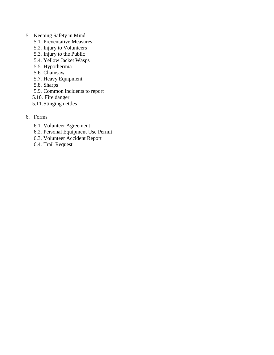#### 5. Keeping Safety in Mind

- 5.1. Preventative Measures
- 5.2. Injury to Volunteers
- 5.3. Injury to the Public
- 5.4. Yellow Jacket Wasps
- 5.5. Hypothermia
- 5.6. Chainsaw
- 5.7. Heavy Equipment
- 5.8. Sharps
- 5.9. Common incidents to report
- 5.10. Fire danger
- 5.11.Stinging nettles
- 6. Forms
	- 6.1. Volunteer Agreement
	- 6.2. Personal Equipment Use Permit
	- 6.3. Volunteer Accident Report
	- 6.4. Trail Request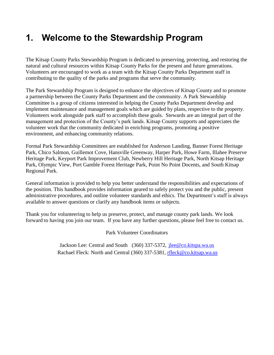# **1. Welcome to the Stewardship Program**

The Kitsap County Parks Stewardship Program is dedicated to preserving, protecting, and restoring the natural and cultural resources within Kitsap County Parks for the present and future generations. Volunteers are encouraged to work as a team with the Kitsap County Parks Department staff in contributing to the quality of the parks and programs that serve the community.

The Park Stewardship Program is designed to enhance the objectives of Kitsap County and to promote a partnership between the County Parks Department and the community. A Park Stewardship Committee is a group of citizens interested in helping the County Parks Department develop and implement maintenance and management goals which are guided by plans, respective to the property. Volunteers work alongside park staff to accomplish these goals. Stewards are an integral part of the management and protection of the County's park lands. Kitsap County supports and appreciates the volunteer work that the community dedicated in enriching programs, promoting a positive environment, and enhancing community relations.

Formal Park Stewardship Committees are established for Anderson Landing, Banner Forest Heritage Park, Chico Salmon, Guillemot Cove, Hansville Greenway, Harper Park, Howe Farm, Illahee Preserve Heritage Park, Keyport Park Improvement Club, Newberry Hill Heritage Park, North Kitsap Heritage Park, Olympic View, Port Gamble Forest Heritage Park, Point No Point Docents, and South Kitsap Regional Park.

General information is provided to help you better understand the responsibilities and expectations of the position. This handbook provides information geared to safely protect you and the public, present administrative procedures, and outline volunteer standards and ethics. The Department's staff is always available to answer questions or clarify any handbook items or subjects.

Thank you for volunteering to help us preserve, protect, and manage county park lands. We look forward to having you join our team. If you have any further questions, please feel free to contact us.

Park Volunteer Coordinators

Jackson Lee: Central and South (360) 337-5372, ilee@co.kitspa.wa.us Rachael Fleck: North and Central (360) 337-5381, [rfleck@co.kitsap.wa.us](mailto:rfleck@co.kitsap.wa.us)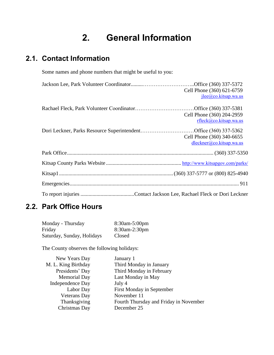# **2. General Information**

# **2.1. Contact Information**

Some names and phone numbers that might be useful to you:

| Cell Phone (360) 621-6759<br>$\text{ilee@co.kitsap.wa.us}$ |
|------------------------------------------------------------|
| Cell Phone (360) 204-2959<br>rflex@co.kitsap.wa.us         |
| Cell Phone (360) 340-6655<br>dleckner@co.kitsap.wa.us      |
|                                                            |
|                                                            |
|                                                            |
|                                                            |
|                                                            |

# **2.2. Park Office Hours**

| Monday - Thursday          | 8:30am-5:00pm |
|----------------------------|---------------|
| Friday                     | 8:30am-2:30pm |
| Saturday, Sunday, Holidays | Closed        |

The County observes the following holidays:

| New Years Day           | January 1                              |
|-------------------------|----------------------------------------|
| M. L. King Birthday     | Third Monday in January                |
| Presidents' Day         | Third Monday in February               |
| <b>Memorial Day</b>     | Last Monday in May                     |
| <b>Independence Day</b> | July 4                                 |
| Labor Day               | First Monday in September              |
| <b>Veterans Day</b>     | November 11                            |
| Thanksgiving            | Fourth Thursday and Friday in November |
| Christmas Day           | December 25                            |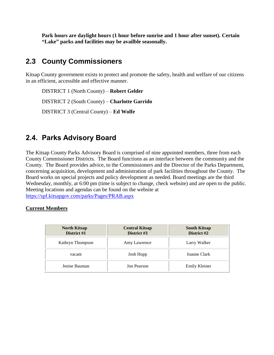**Park hours are daylight hours (1 hour before sunrise and 1 hour after sunset). Certain "Lake" parks and facilities may be availble seasonally.**

# **2.3 County Commissioners**

Kitsap County government exists to protect and promote the safety, health and welfare of our citizens in an efficient, accessible and effective manner.

DISTRICT 1 (North County) – **Robert Gelder** DISTRICT 2 (South County) – **Charlotte Garrido** DISTRICT 3 (Central County) – **Ed Wolfe**

## **2.4. Parks Advisory Board**

The Kitsap County Parks Advisory Board is comprised of nine appointed members, three from each County Commissioner Districts. The Board functions as an interface between the community and the County. The Board provides advice, to the Commissioners and the Director of the Parks Department, concerning acquisition, development and administration of park facilities throughout the County. The Board works on special projects and policy development as needed. Board meetings are the third Wednesday, monthly, at 6:00 pm (time is subject to change, check website) and are open to the public. Meeting locations and agendas can be found on the website at https://spf.kitsapgov.com/parks/Pages/PRAB.aspx

#### **Current Members**

| <b>North Kitsap</b><br>District #1 | <b>Central Kitsap</b><br>District #3 | <b>South Kitsap</b><br>District #2 |
|------------------------------------|--------------------------------------|------------------------------------|
| Kathryn Thompson                   | Amy Lawrence                         | Larry Walker                       |
| vacant                             | Josh Hopp                            | Joanne Clark                       |
| Jenise Bauman                      | Jon Pearson                          | <b>Emily Kleiner</b>               |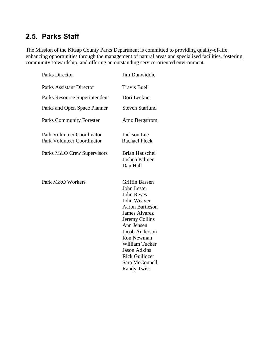# **2.5. Parks Staff**

The Mission of the Kitsap County Parks Department is committed to providing quality-of-life enhancing opportunities through the management of natural areas and specialized facilities, fostering community stewardship, and offering an outstanding service-oriented environment.

| <b>Parks Director</b>                                                  | Jim Dunwiddie                                                                                                                                                                                                                                                                                        |
|------------------------------------------------------------------------|------------------------------------------------------------------------------------------------------------------------------------------------------------------------------------------------------------------------------------------------------------------------------------------------------|
| <b>Parks Assistant Director</b>                                        | <b>Travis Buell</b>                                                                                                                                                                                                                                                                                  |
| Parks Resource Superintendent                                          | Dori Leckner                                                                                                                                                                                                                                                                                         |
| Parks and Open Space Planner                                           | <b>Steven Starlund</b>                                                                                                                                                                                                                                                                               |
| <b>Parks Community Forester</b>                                        | Arno Bergstrom                                                                                                                                                                                                                                                                                       |
| <b>Park Volunteer Coordinator</b><br><b>Park Volunteer Coordinator</b> | Jackson Lee<br><b>Rachael Fleck</b>                                                                                                                                                                                                                                                                  |
| Parks M&O Crew Supervisors                                             | <b>Brian Hauschel</b><br>Joshua Palmer<br>Dan Hall                                                                                                                                                                                                                                                   |
| Park M&O Workers                                                       | <b>Griffin Bassen</b><br>John Lester<br>John Reyes<br>John Weaver<br><b>Aaron Bartleson</b><br><b>James Alvarez</b><br>Jeremy Collins<br>Ann Jensen<br><b>Jacob Anderson</b><br>Ron Newman<br>William Tucker<br><b>Jason Adkins</b><br><b>Rick Guillozet</b><br>Sara McConnell<br><b>Randy Twiss</b> |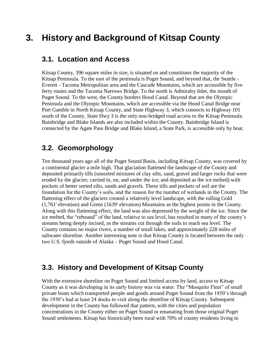# **3. History and Background of Kitsap County**

#### **3.1. Location and Access**

Kitsap County, 396 square miles in size, is situated on and constitutes the majority of the Kitsap Peninsula. To the east of the peninsula is Puget Sound, and beyond that, the Seattle - Everett - Tacoma Metropolitan area and the Cascade Mountains, which are accessible by five ferry routes and the Tacoma Narrows Bridge. To the north is Admiralty Inlet, the mouth of Puget Sound. To the west, the County borders Hood Canal. Beyond that are the Olympic Peninsula and the Olympic Mountains, which are accessible via the Hood Canal Bridge near Port Gamble in North Kitsap County, and State Highway 3, which connects to Highway 101 south of the County. State Hwy 3 is the only non-bridged road access to the Kitsap Peninsula. Bainbridge and Blake Islands are also included within the County. Bainbridge Island is connected by the Agate Pass Bridge and Blake Island, a State Park, is accessible only by boat.

### **3.2. Geomorphology**

Ten thousand years ago all of the Puget Sound Basin, including Kitsap County, was covered by a continental glacier a mile high. That glaciation flattened the landscape of the County and deposited primarily tills (unsorted mixtures of clay silts, sand, gravel and larger rocks that were eroded by the glacier; carried in, on, and under the ice; and deposited as the ice melted) with pockets of better sorted silts, sands and gravels. These tills and pockets of soil are the foundation for the County's soils, and the reason for the number of wetlands in the County. The flattening effect of the glaciers created a relatively level landscape, with the rolling Gold (1,761' elevation) and Green (1639' elevation) Mountains as the highest points in the County. Along with this flattening effect, the land was also depressed by the weight of the ice. Since the ice melted, the "rebound" of the land, relative to sea level, has resulted in many of the county's streams being deeply incised, as the streams cut through the soils to reach sea level. The County contains no major rivers, a number of small lakes, and approximately 228 miles of saltwater shoreline. Another interesting note is that Kitsap County is located between the only two U.S. fjords outside of Alaska – Puget Sound and Hood Canal.

### **3.3. History and Development of Kitsap County**

With the extensive shoreline on Puget Sound and limited access by land, access to Kitsap County as it was developing in its early history was via water. The "Mosquito Fleet" of small private boats which transported people and goods around Puget Sound from the 1850's through the 1930's had at least 24 docks to visit along the shoreline of Kitsap County. Subsequent development in the County has followed that pattern, with the cities and population concentrations in the County either on Puget Sound or emanating from those original Puget Sound settlements. Kitsap has historically been rural with 70% of county residents living in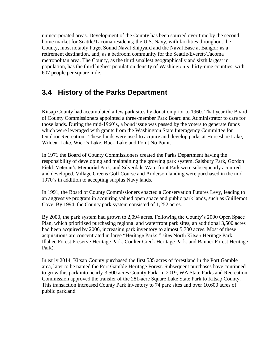unincorporated areas. Development of the County has been spurred over time by the second home market for Seattle/Tacoma residents; the U.S. Navy, with facilities throughout the County, most notably Puget Sound Naval Shipyard and the Naval Base at Bangor; as a retirement destination, and; as a bedroom community for the Seattle/Everett/Tacoma metropolitan area. The County, as the third smallest geographically and sixth largest in population, has the third highest population density of Washington's thirty-nine counties, with 607 people per square mile.

# **3.4 History of the Parks Department**

Kitsap County had accumulated a few park sites by donation prior to 1960. That year the Board of County Commissioners appointed a three-member Park Board and Administrator to care for those lands. During the mid-1960's, a bond issue was passed by the voters to generate funds which were leveraged with grants from the Washington State Interagency Committee for Outdoor Recreation. These funds were used to acquire and develop parks at Horseshoe Lake, Wildcat Lake, Wick's Lake, Buck Lake and Point No Point.

In 1971 the Board of County Commissioners created the Parks Department having the responsibility of developing and maintaining the growing park system. Salsbury Park, Gordon Field, Veteran's Memorial Park, and Silverdale Waterfront Park were subsequently acquired and developed. Village Greens Golf Course and Anderson landing were purchased in the mid 1970's in addition to accepting surplus Navy lands.

In 1991, the Board of County Commissioners enacted a Conservation Futures Levy, leading to an aggressive program in acquiring valued open space and public park lands, such as Guillemot Cove. By 1994, the County park system consisted of 1,252 acres.

By 2000, the park system had grown to 2,094 acres. Following the County's 2000 Open Space Plan, which prioritized purchasing regional and waterfront park sites, an additional 3,500 acres had been acquired by 2006, increasing park inventory to almost 5,700 acres. Most of these acquisitions are concentrated in large "Heritage Parks;" sites North Kitsap Heritage Park, Illahee Forest Preserve Heritage Park, Coulter Creek Heritage Park, and Banner Forest Heritage Park).

In early 2014, Kitsap County purchased the first 535 acres of forestland in the Port Gamble area, later to be named the Port Gamble Heritage Forest. Subsequent purchases have continued to grow this park into nearly-3,500 acres County Park. In 2019, WA State Parks and Recreation Commission approved the transfer of the 281-acre Square Lake State Park to Kitsap County. This transaction increased County Park inventory to 74 park sites and over 10,600 acres of public parkland.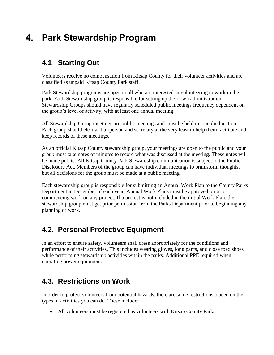# **4. Park Stewardship Program**

# **4.1 Starting Out**

Volunteers receive no compensation from Kitsap County for their volunteer activities and are classified as unpaid Kitsap County Park staff.

Park Stewardship programs are open to all who are interested in volunteering to work in the park. Each Stewardship group is responsible for setting up their own administration. Stewardship Groups should have regularly scheduled public meetings frequency dependent on the group's level of activity, with at least one annual meeting.

All Stewardship Group meetings are public meetings and must be held in a public location. Each group should elect a chairperson and secretary at the very least to help them facilitate and keep records of these meetings.

As an official Kitsap County stewardship group, your meetings are open to the public and your group must take notes or minutes to record what was discussed at the meeting. These notes will be made public. All Kitsap County Park Stewardship communication is subject to the Public Disclosure Act. Members of the group can have individual meetings to brainstorm thoughts, but all decisions for the group must be made at a public meeting.

Each stewardship group is responsible for submitting an Annual Work Plan to the County Parks Department in December of each year. Annual Work Plans must be approved prior to commencing work on any project. If a project is not included in the initial Work Plan, the stewardship group must get prior permission from the Parks Department prior to beginning any planning or work.

# **4.2. Personal Protective Equipment**

In an effort to ensure safety, volunteers shall dress appropriately for the conditions and performance of their activities. This includes wearing gloves, long pants, and close toed shoes while performing stewardship activities within the parks. Additional PPE required when operating power equipment.

# **4.3. Restrictions on Work**

In order to protect volunteers from potential hazards, there are some restrictions placed on the types of activities you can do. These include:

• All volunteers must be registered as volunteers with Kitsap County Parks.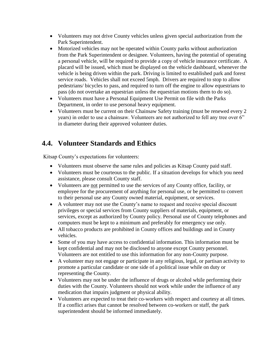- Volunteers may not drive County vehicles unless given special authorization from the Park Superintendent.
- Motorized vehicles may not be operated within County parks without authorization from the Park Superintendent or designee. Volunteers, having the potential of operating a personal vehicle, will be required to provide a copy of vehicle insurance certificate. A placard will be issued, which must be displayed on the vehicle dashboard, whenever the vehicle is being driven within the park. Driving is limited to established park and forest service roads. Vehicles shall not exceed 5mph. Drivers are required to stop to allow pedestrians/ bicycles to pass, and required to turn off the engine to allow equestrians to pass (do not overtake an equestrian unless the equestrian motions them to do so).
- Volunteers must have a Personal Equipment Use Permit on file with the Parks Department, in order to use personal heavy equipment.
- Volunteers must be current on their Chainsaw Safety training (must be renewed every 2 years) in order to use a chainsaw. Volunteers are not authorized to fell any tree over 6" in diameter during their approved volunteer duties.

# **4.4. Volunteer Standards and Ethics**

Kitsap County's expectations for volunteers:

- Volunteers must observe the same rules and policies as Kitsap County paid staff.
- Volunteers must be courteous to the public. If a situation develops for which you need assistance, please consult County staff.
- Volunteers are not permitted to use the services of any County office, facility, or employee for the procurement of anything for personal use, or be permitted to convert to their personal use any County owned material, equipment, or services.
- A volunteer may not use the County's name to request and receive special discount privileges or special services from County suppliers of materials, equipment, or services, except as authorized by County policy. Personal use of County telephones and computers must be kept to a minimum and preferably for emergency use only.
- All tobacco products are prohibited in County offices and buildings and in County vehicles.
- Some of you may have access to confidential information. This information must be kept confidential and may not be disclosed to anyone except County personnel. Volunteers are not entitled to use this information for any non-County purpose.
- A volunteer may not engage or participate in any religious, legal, or partisan activity to promote a particular candidate or one side of a political issue while on duty or representing the County.
- Volunteers may not be under the influence of drugs or alcohol while performing their duties with the County. Volunteers should not work while under the influence of any medication that impairs judgment or physical ability.
- Volunteers are expected to treat their co-workers with respect and courtesy at all times. If a conflict arises that cannot be resolved between co-workers or staff, the park superintendent should be informed immediately.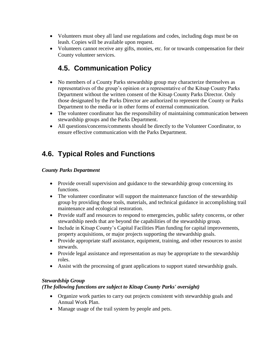- Volunteers must obey all land use regulations and codes, including dogs must be on leash. Copies will be available upon request.
- Volunteers cannot receive any gifts, monies, etc. for or towards compensation for their County volunteer services.

# **4.5. Communication Policy**

- No members of a County Parks stewardship group may characterize themselves as representatives of the group's opinion or a representative of the Kitsap County Parks Department without the written consent of the Kitsap County Parks Director. Only those designated by the Parks Director are authorized to represent the County or Parks Department to the media or in other forms of external communication.
- The volunteer coordinator has the responsibility of maintaining communication between stewardship groups and the Parks Department.
- All questions/concerns/comments should be directly to the Volunteer Coordinator, to ensure effective communication with the Parks Department.

# **4.6. Typical Roles and Functions**

#### *County Parks Department*

- Provide overall supervision and guidance to the stewardship group concerning its functions.
- The volunteer coordinator will support the maintenance function of the stewardship group by providing those tools, materials, and technical guidance in accomplishing trail maintenance and ecological restoration.
- Provide staff and resources to respond to emergencies, public safety concerns, or other stewardship needs that are beyond the capabilities of the stewardship group.
- Include in Kitsap County's Capital Facilities Plan funding for capital improvements, property acquisitions, or major projects supporting the stewardship goals.
- Provide appropriate staff assistance, equipment, training, and other resources to assist stewards.
- Provide legal assistance and representation as may be appropriate to the stewardship roles.
- Assist with the processing of grant applications to support stated stewardship goals.

#### *Stewardship Group*

#### *(The following functions are subject to Kitsap County Parks' oversight)*

- Organize work parties to carry out projects consistent with stewardship goals and Annual Work Plan.
- Manage usage of the trail system by people and pets.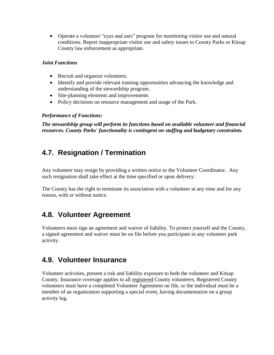• Operate a volunteer "eyes and ears" program for monitoring visitor use and natural conditions. Report inappropriate visitor use and safety issues to County Parks or Kitsap County law enforcement as appropriate.

#### *Joint Functions*

- Recruit and organize volunteers.
- Identify and provide relevant training opportunities advancing the knowledge and understanding of the stewardship program.
- Site-planning elements and improvements
- Policy decisions on resource management and usage of the Park.

#### *Performance of Functions:*

*The stewardship group will perform its functions based on available volunteer and financial resources. County Parks' functionality is contingent on staffing and budgetary constraints.*

# **4.7. Resignation / Termination**

Any volunteer may resign by providing a written notice to the Volunteer Coordinator. Any such resignation shall take effect at the time specified or upon delivery.

The County has the right to terminate its association with a volunteer at any time and for any reason, with or without notice.

# **4.8. Volunteer Agreement**

Volunteers must sign an agreement and waiver of liability. To protect yourself and the County, a signed agreement and waiver must be on file before you participate in any volunteer park activity.

# **4.9. Volunteer Insurance**

Volunteer activities, present a risk and liability exposure to both the volunteer and Kitsap County. Insurance coverage applies to all registered County volunteers. Registered County volunteers must have a completed Volunteer Agreement on file, or the individual must be a member of an organization supporting a special event, having documentation on a group activity log.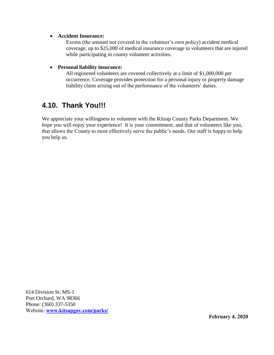#### • **Accident Insurance:**

Excess (the amount not covered in the volunteer's own policy) accident medical coverage, up to \$25,000 of medical insurance coverage to volunteers that are injured while participating in county volunteer activities.

#### • **Personal liability insurance:**

All registered volunteers are covered collectively at a limit of \$1,000,000 per occurrence. Coverage provides protection for a personal injury or property damage liability claim arising out of the performance of the volunteers' duties.

# **4.10. Thank You!!!**

We appreciate your willingness to volunteer with the Kitsap County Parks Department. We hope you will enjoy your experience! It is your commitment, and that of volunteers like you, that allows the County to most effectively serve the public's needs. Our staff is happy to help you help us.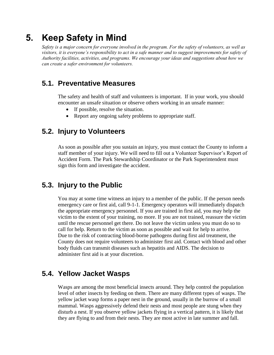# **5. Keep Safety in Mind**

*Safety is a major concern for everyone involved in the program. For the safety of volunteers, as well as visitors, it is everyone's responsibility to act in a safe manner and to suggest improvements for safety of Authority facilities, activities, and programs. We encourage your ideas and suggestions about how we can create a safer environment for volunteers.* 

# **5.1. Preventative Measures**

The safety and health of staff and volunteers is important. If in your work, you should encounter an unsafe situation or observe others working in an unsafe manner:

- If possible, resolve the situation.
- Report any ongoing safety problems to appropriate staff.

## **5.2. Injury to Volunteers**

As soon as possible after you sustain an injury, you must contact the County to inform a staff member of your injury. We will need to fill out a Volunteer Supervisor's Report of Accident Form. The Park Stewardship Coordinator or the Park Superintendent must sign this form and investigate the accident.

### **5.3. Injury to the Public**

You may at some time witness an injury to a member of the public. If the person needs emergency care or first aid, call 9-1-1. Emergency operators will immediately dispatch the appropriate emergency personnel. If you are trained in first aid, you may help the victim to the extent of your training, no more. If you are not trained, reassure the victim until the rescue personnel get there. Do not leave the victim unless you must do so to call for help. Return to the victim as soon as possible and wait for help to arrive. Due to the risk of contracting blood-borne pathogens during first aid treatment, the County does not require volunteers to administer first aid. Contact with blood and other body fluids can transmit diseases such as hepatitis and AIDS. The decision to administer first aid is at your discretion.

### **5.4. Yellow Jacket Wasps**

Wasps are among the most beneficial insects around. They help control the population level of other insects by feeding on them. There are many different types of wasps. The yellow jacket wasp forms a paper nest in the ground, usually in the burrow of a small mammal. Wasps aggressively defend their nests and most people are stung when they disturb a nest. If you observe yellow jackets flying in a vertical pattern, it is likely that they are flying to and from their nests. They are most active in late summer and fall.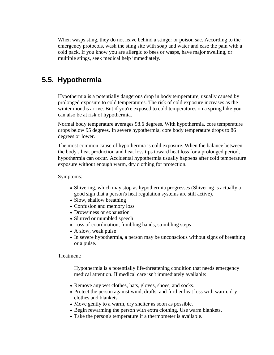When wasps sting, they do not leave behind a stinger or poison sac. According to the emergency protocols, wash the sting site with soap and water and ease the pain with a cold pack. If you know you are allergic to bees or wasps, have major swelling, or multiple stings, seek medical help immediately.

### **5.5. Hypothermia**

Hypothermia is a potentially dangerous drop in body temperature, usually caused by prolonged exposure to cold temperatures. The risk of cold exposure increases as the winter months arrive. But if you're exposed to cold temperatures on a spring hike you can also be at risk of hypothermia.

Normal body temperature averages 98.6 degrees. With hypothermia, core temperature drops below 95 degrees. In severe hypothermia, core body temperature drops to 86 degrees or lower.

The most common cause of hypothermia is cold exposure. When the balance between the body's heat production and heat loss tips toward heat loss for a prolonged period, hypothermia can occur. Accidental hypothermia usually happens after cold temperature exposure without enough warm, dry clothing for protection.

Symptoms:

- Shivering, which may stop as hypothermia progresses (Shivering is actually a good sign that a person's heat regulation systems are still active).
- Slow, shallow breathing
- Confusion and memory loss
- Drowsiness or exhaustion
- Slurred or mumbled speech
- Loss of coordination, fumbling hands, stumbling steps
- A slow, weak pulse
- In severe hypothermia, a person may be unconscious without signs of breathing or a pulse*.*

Treatment:

Hypothermia is a potentially life-threatening condition that needs emergency medical attention. If medical care isn't immediately available:

- Remove any wet clothes, hats, gloves, shoes, and socks.
- Protect the person against wind, drafts, and further heat loss with warm, dry clothes and blankets.
- Move gently to a warm, dry shelter as soon as possible.
- Begin rewarming the person with extra clothing. Use warm blankets.
- Take the person's temperature if a thermometer is available.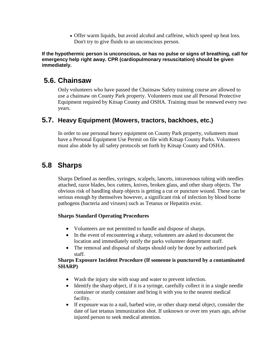• Offer warm liquids, but avoid alcohol and [caffeine,](http://www.webmd.com/balance/caffeine-myths-and-facts) which speed up heat loss. Don't try to give fluids to an unconscious person.

**If the hypothermic person is unconscious, or has no pulse or signs of breathing, call for emergency help right away. CPR (cardiopulmonary resuscitation) should be given immediately.**

### **5.6. Chainsaw**

 Only volunteers who have passed the Chainsaw Safety training course are allowed to use a chainsaw on County Park property. Volunteers must use all Personal Protective Equipment required by Kitsap County and OSHA. Training must be renewed every two years.

### **5.7. Heavy Equipment (Mowers, tractors, backhoes, etc.)**

 In order to use personal heavy equipment on County Park property, volunteers must have a Personal Equipment Use Permit on file with Kitsap County Parks. Volunteers must also abide by all safety protocols set forth by Kitsap County and OSHA.

# **5.8 Sharps**

 Sharps Defined as needles, syringes, scalpels, lancets, intravenous tubing with needles attached, razor blades, box cutters, knives, broken glass, and other sharp objects. The obvious risk of handling sharp objects is getting a cut or puncture wound. These can be serious enough by themselves however, a significant risk of infection by blood borne pathogens (bacteria and viruses) such as Tetanus or Hepatitis exist.

#### **Sharps Standard Operating Procedures**

- Volunteers are not permitted to handle and dispose of sharps.
- In the event of encountering a sharp, volunteers are asked to document the location and immediately notify the parks volunteer department staff.
- The removal and disposal of sharps should only be done by authorized park staff.

#### **Sharps Exposure Incident Procedure (If someone is punctured by a contaminated SHARP)**

- Wash the injury site with soap and water to prevent infection.
- Identify the sharp object, if it is a syringe, carefully collect it in a single needle container or sturdy container and bring it with you to the nearest medical facility.
- If exposure was to a nail, barbed wire, or other sharp metal object, consider the date of last tetanus immunization shot. If unknown or over ten years ago, advise injured person to seek medical attention.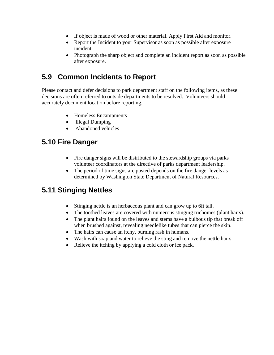- If object is made of wood or other material. Apply First Aid and monitor.
- Report the Incident to your Supervisor as soon as possible after exposure incident.
- Photograph the sharp object and complete an incident report as soon as possible after exposure.

# **5.9 Common Incidents to Report**

Please contact and defer decisions to park department staff on the following items, as these decisions are often referred to outside departments to be resolved. Volunteers should accurately document location before reporting.

- Homeless Encampments
- Illegal Dumping
- Abandoned vehicles

# **5.10 Fire Danger**

- Fire danger signs will be distributed to the stewardship groups via parks volunteer coordinators at the directive of parks department leadership.
- The period of time signs are posted depends on the fire danger levels as determined by Washington State Department of Natural Resources.

# **5.11 Stinging Nettles**

- Stinging nettle is an herbaceous plant and can grow up to 6ft tall.
- The toothed leaves are covered with numerous stinging trichomes (plant hairs).
- The plant hairs found on the leaves and stems have a bulbous tip that break off when brushed against, revealing needlelike tubes that can pierce the skin.
- The hairs can cause an itchy, burning rash in humans.
- Wash with soap and water to relieve the sting and remove the nettle hairs.
- Relieve the itching by applying a cold cloth or ice pack.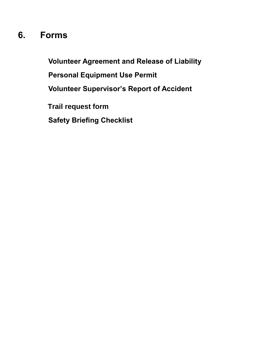# **6. Forms**

**Volunteer Agreement and Release of Liability Personal Equipment Use Permit Volunteer Supervisor's Report of Accident Trail request form Safety Briefing Checklist**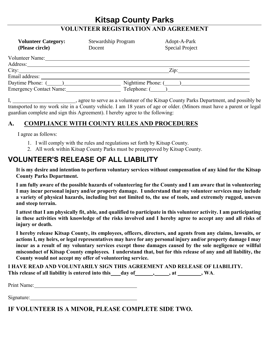## **Kitsap County Parks VOLUNTEER REGISTRATION AND AGREEMENT**

| <b>Volunteer Category:</b><br>(Please circle) | <b>Stewardship Program</b><br>Docent | Adopt-A-Park<br><b>Special Project</b> |  |
|-----------------------------------------------|--------------------------------------|----------------------------------------|--|
| Volunteer Name:                               |                                      |                                        |  |
| Address:                                      |                                      |                                        |  |
| City:                                         |                                      | Zip:                                   |  |
| Email address: __                             |                                      |                                        |  |
| Daytime Phone: $(\_\_)$                       |                                      | Nighttime Phone: $(\_\_)$              |  |
| <b>Emergency Contact Name:</b>                | Telephone: (                         |                                        |  |

I, 1. All and Equipment County Parks Department, and possibly be a serve as a volunteer of the Kitsap County Parks Department, and possibly be transported to my work site in a County vehicle. I am 18 years of age or older. (Minors must have a parent or legal guardian complete and sign this Agreement). I hereby agree to the following:

#### **A. COMPLIANCE WITH COUNTY RULES AND PROCEDURES**

I agree as follows:

- 1. I will comply with the rules and regulations set forth by Kitsap County.
- 2. All work within Kitsap County Parks must be preapproved by Kitsap County.

# **VOLUNTEER'S RELEASE OF ALL LIABILITY**

**It is my desire and intention to perform voluntary services without compensation of any kind for the Kitsap County Parks Department.**

**I am fully aware of the possible hazards of volunteering for the County and I am aware that in volunteering I may incur personal injury and/or property damage. I understand that my volunteer services may include a variety of physical hazards, including but not limited to, the use of tools, and extremely rugged, uneven and steep terrain.** 

**I attest that I am physically fit, able, and qualified to participate in this volunteer activity. I am participating in these activities with knowledge of the risks involved and I hereby agree to accept any and all risks of injury or death.**

**I hereby release Kitsap County, its employees, officers, directors, and agents from any claims, lawsuits, or actions I, my heirs, or legal representatives may have for any personal injury and/or property damage I may incur as a result of my voluntary services except those damages caused by the sole negligence or willful misconduct of Kitsap County employees***.* **I understand that, but for this release of any and all liability, the County would not accept my offer of volunteering service.**

**I HAVE READ AND VOLUNTARILY SIGN THIS AGREEMENT AND RELEASE OF LIABILITY.** This release of all liability is entered into this day of , at , at , wA.

Print Name: 1988. Contact Name: 1988. Contact Name: 1988. Contact Name: 1988. Contact Name: 1988. Contact Name I Separate Name I Separate Name I Separate Name I Separate Name I Separate Name I Separate Name I Separate Name

Signature:

**IF VOLUNTEER IS A MINOR, PLEASE COMPLETE SIDE TWO.**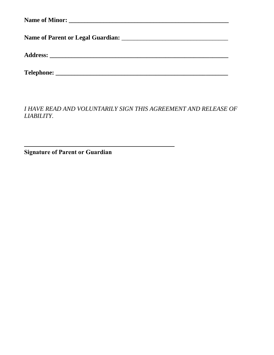*I HAVE READ AND VOLUNTARILY SIGN THIS AGREEMENT AND RELEASE OF LIABILITY.*

**Signature of Parent or Guardian**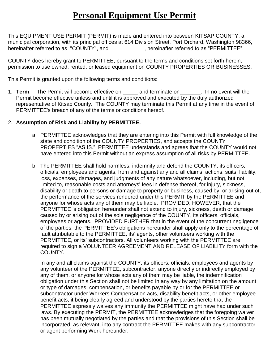# **Personal Equipment Use Permit**

This EQUIPMENT USE PERMIT (PERMIT) is made and entered into between KITSAP COUNTY, a municipal corporation, with its principal offices at 614 Division Street, Port Orchard, Washington 98366, hereinafter referred to as "COUNTY", and , hereinafter referred to as "PERMITTEE".

COUNTY does hereby grant to PERMITTEE, pursuant to the terms and conditions set forth herein, permission to use owned, rented, or leased equipment on COUNTY PROPERTIES OR BUSINESSES.

This Permit is granted upon the following terms and conditions:

1. **Term**. The Permit will become effective on and terminate on . In no event will the Permit become effective unless and until it is approved and executed by the duly authorized representative of Kitsap County. The COUNTY may terminate this Permit at any time in the event of PERMITTEE's breach of any of the terms or conditions hereof.

#### 2. **Assumption of Risk and Liability by PERMITTEE.**

- a. PERMITTEE acknowledges that they are entering into this Permit with full knowledge of the state and condition of the COUNTY PROPERTIES, and accepts the COUNTY PROPERTIES "AS IS." PERMITTEE understands and agrees that the COUNTY would not have entered into this Permit without an express assumption of all risks by PERMITTEE.
- b. The PERMITTEE shall hold harmless, indemnify and defend the COUNTY, its officers, officials, employees and agents, from and against any and all claims, actions, suits, liability, loss, expenses, damages, and judgments of any nature whatsoever, including, but not limited to, reasonable costs and attorneys' fees in defense thereof, for injury, sickness, disability or death to persons or damage to property or business, caused by, or arising out of, the performance of the services rendered under this PERMIT by the PERMITTEE and anyone for whose acts any of them may be liable. PROVIDED, HOWEVER, that the PERMITTEE 's obligation hereunder shall not extend to injury, sickness, death or damage caused by or arising out of the sole negligence of the COUNTY, its officers, officials, employees or agents. PROVIDED FURTHER that in the event of the concurrent negligence of the parties, the PERMITTEE's obligations hereunder shall apply only to the percentage of fault attributable to the PERMITTEE, its' agents, other volunteers working with the PERMITTEE, or its' subcontractors. All volunteers working with the PERMITTEE are required to sign a VOLUNTEER AGREEMENT AND RELEASE OF LIABILITY form with the COUNTY.

In any and all claims against the COUNTY, its officers, officials, employees and agents by any volunteer of the PERMITTEE, subcontractor, anyone directly or indirectly employed by any of them, or anyone for whose acts any of them may be liable, the indemnification obligation under this Section shall not be limited in any way by any limitation on the amount or type of damages, compensation, or benefits payable by or for the PERMITTEE or subcontractor under Workers Compensation acts, disability benefit acts, or other employee benefit acts, it being clearly agreed and understood by the parties hereto that the PERMITTEE expressly waives any immunity the PERMITTEE might have had under such laws. By executing the PERMIT, the PERMITTEE acknowledges that the foregoing waiver has been mutually negotiated by the parties and that the provisions of this Section shall be incorporated, as relevant, into any contract the PERMITTEE makes with any subcontractor or agent performing Work hereunder.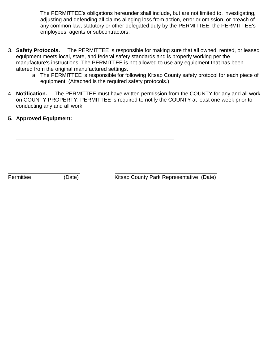The PERMITTEE's obligations hereunder shall include, but are not limited to, investigating, adjusting and defending all claims alleging loss from action, error or omission, or breach of any common law, statutory or other delegated duty by the PERMITTEE, the PERMITTEE's employees, agents or subcontractors.

- 3. **Safety Protocols.** The PERMITTEE is responsible for making sure that all owned, rented, or leased equipment meets local, state, and federal safety standards and is properly working per the manufacture's instructions. The PERMITTEE is not allowed to use any equipment that has been altered from the original manufactured settings.
	- a. The PERMITTEE is responsible for following Kitsap County safety protocol for each piece of equipment. (Attached is the required safety protocols.)
- 4. **Notification.** The PERMITTEE must have written permission from the COUNTY for any and all work on COUNTY PROPERTY. PERMITTEE is required to notify the COUNTY at least one week prior to conducting any and all work.

**\_\_\_\_\_\_\_\_\_\_\_\_\_\_\_\_\_\_\_\_\_\_\_\_\_\_\_\_\_\_\_\_\_\_\_\_\_\_\_\_\_\_\_\_\_\_\_\_\_\_\_\_\_\_\_\_\_\_\_\_\_\_\_\_\_\_\_\_\_\_\_\_\_\_\_\_\_\_\_\_\_**

**5. Approved Equipment:**

 $\overline{\phantom{a}}$  , and the contract of the contract of the contract of the contract of the contract of the contract of the contract of the contract of the contract of the contract of the contract of the contract of the contrac

**\_\_\_\_\_\_\_\_\_\_\_\_\_\_\_\_\_\_\_\_\_\_\_\_\_\_\_\_\_\_\_\_\_\_\_\_\_\_\_\_\_\_\_\_\_\_\_\_\_\_\_\_\_**

Permittee (Date) Kitsap County Park Representative (Date)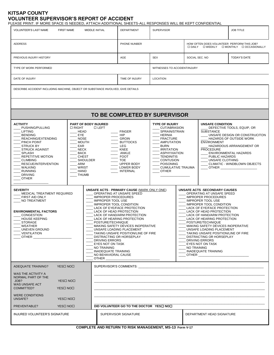#### **KITSAP COUNTY VOLUNTEER SUPERVISOR'S REPORT OF ACCIDENT**

PLEASE PRINT. IF MORE SPACE IS NEEDED, ATTACH ADDITIONAL SHEETS-ALL RESPONSES WILL BE KEPT CONFIDENTIAL

| LEAGE FININT. IF MONE OF AGE 10 INLEDED, AT FAOTI ADDITIONAL OFILETOFALE NEOF ONOLO WILL DE NEFT CONFIDENTIAL<br><b>VOLUNTEER'S LAST NAME</b><br><b>FIRST NAME</b>                                                                                                                                                                | MIDDLE INITIAL                                                                                                                                                                                                                                                                                                                                                                                                                                                                                                                                                                                                                                                                                                                                                                                                                                                                                                                                                                                                                                                                  | <b>DEPARTMENT</b>                                                                                                                                                                                                              | <b>SUPERVISOR</b>                                                                                                                                                                                                                                                     |                |                                                                                                                                                                       | <b>JOB TITLE</b>                                                                                                                                                                          |
|-----------------------------------------------------------------------------------------------------------------------------------------------------------------------------------------------------------------------------------------------------------------------------------------------------------------------------------|---------------------------------------------------------------------------------------------------------------------------------------------------------------------------------------------------------------------------------------------------------------------------------------------------------------------------------------------------------------------------------------------------------------------------------------------------------------------------------------------------------------------------------------------------------------------------------------------------------------------------------------------------------------------------------------------------------------------------------------------------------------------------------------------------------------------------------------------------------------------------------------------------------------------------------------------------------------------------------------------------------------------------------------------------------------------------------|--------------------------------------------------------------------------------------------------------------------------------------------------------------------------------------------------------------------------------|-----------------------------------------------------------------------------------------------------------------------------------------------------------------------------------------------------------------------------------------------------------------------|----------------|-----------------------------------------------------------------------------------------------------------------------------------------------------------------------|-------------------------------------------------------------------------------------------------------------------------------------------------------------------------------------------|
| <b>ADDRESS</b>                                                                                                                                                                                                                                                                                                                    |                                                                                                                                                                                                                                                                                                                                                                                                                                                                                                                                                                                                                                                                                                                                                                                                                                                                                                                                                                                                                                                                                 | PHONE NUNBER                                                                                                                                                                                                                   |                                                                                                                                                                                                                                                                       |                | HOW OFTEN DOES VOLUNTEER PERFORM THIS JOB?<br>□ DAILY □ WEEKLY □ MONTHLY □ OCCASIONALLY                                                                               |                                                                                                                                                                                           |
| PREVIOUS INJURY HISTORY                                                                                                                                                                                                                                                                                                           |                                                                                                                                                                                                                                                                                                                                                                                                                                                                                                                                                                                                                                                                                                                                                                                                                                                                                                                                                                                                                                                                                 | AGE                                                                                                                                                                                                                            | <b>SEX</b>                                                                                                                                                                                                                                                            | SOCIAL SEC. NO |                                                                                                                                                                       | <b>TODAY'S DATE</b>                                                                                                                                                                       |
| TYPE OF WORK PERFORMED                                                                                                                                                                                                                                                                                                            |                                                                                                                                                                                                                                                                                                                                                                                                                                                                                                                                                                                                                                                                                                                                                                                                                                                                                                                                                                                                                                                                                 |                                                                                                                                                                                                                                | WITNESSES TO ACCIDENT/INJURY                                                                                                                                                                                                                                          |                |                                                                                                                                                                       |                                                                                                                                                                                           |
| DATE OF INJURY                                                                                                                                                                                                                                                                                                                    |                                                                                                                                                                                                                                                                                                                                                                                                                                                                                                                                                                                                                                                                                                                                                                                                                                                                                                                                                                                                                                                                                 | TIME OF INJURY                                                                                                                                                                                                                 | <b>LOCATION</b>                                                                                                                                                                                                                                                       |                |                                                                                                                                                                       |                                                                                                                                                                                           |
| DESCRIBE ACCIDENT INCLUDING MACHINE, OBJECT OR SUBSTANCE INVOLVED, GIVE DETAILS                                                                                                                                                                                                                                                   |                                                                                                                                                                                                                                                                                                                                                                                                                                                                                                                                                                                                                                                                                                                                                                                                                                                                                                                                                                                                                                                                                 |                                                                                                                                                                                                                                |                                                                                                                                                                                                                                                                       |                |                                                                                                                                                                       |                                                                                                                                                                                           |
|                                                                                                                                                                                                                                                                                                                                   |                                                                                                                                                                                                                                                                                                                                                                                                                                                                                                                                                                                                                                                                                                                                                                                                                                                                                                                                                                                                                                                                                 |                                                                                                                                                                                                                                |                                                                                                                                                                                                                                                                       |                |                                                                                                                                                                       |                                                                                                                                                                                           |
|                                                                                                                                                                                                                                                                                                                                   |                                                                                                                                                                                                                                                                                                                                                                                                                                                                                                                                                                                                                                                                                                                                                                                                                                                                                                                                                                                                                                                                                 | TO BE COMPLETED BY SUPERVISOR                                                                                                                                                                                                  |                                                                                                                                                                                                                                                                       |                |                                                                                                                                                                       |                                                                                                                                                                                           |
| <b>ACTIVITY</b><br>PUSHING/PULLING<br><b>LIFTING</b><br><b>BENDING</b><br>REACHING/EXTENDING<br>PINCH POINT<br><b>STRUCK BY</b><br><b>STRUCK AGAINST</b><br><b>SPLASH</b><br>REPETITIVE MOTION<br><b>CLIMBING</b><br>RESCUE/INTERVENTION<br><b>WALKING</b><br><b>RUNNING</b><br><b>DRIVING</b><br><b>OTHER</b><br><b>SEVERITY</b> | PART OF BODY INJURED<br>$\Box$ RIGHT<br><b>D LEFT</b><br><b>HEAD</b><br>EYE<br><b>NOSE</b><br><b>MOUTH</b><br>EAR<br><b>NECK</b><br><b>BACK</b><br><b>CHEST</b><br><b>SHOULDER</b><br>ARM<br><b>WRIST</b><br><b>HAND</b><br><b>THUMB</b>                                                                                                                                                                                                                                                                                                                                                                                                                                                                                                                                                                                                                                                                                                                                                                                                                                        | <b>FINGER</b><br>HIP<br><b>GROIN</b><br><b>BUTTOCKS</b><br>LEG<br>$-KNEE$<br>ANKLE<br><b>FOOT</b><br><b>TOE</b><br>UPPER BODY<br>LOWER BODY<br>__ INTERNAL<br><b>UNSAFE ACTS - PRIMARY CAUSE (MARK ONLY ONE)</b>               | <b>TYPE OF INJURY</b><br>CUT/ABRASION<br>SPRAIN/STRAIN<br>HERNIA<br>FRACTURE<br><b>AMPUTATION</b><br><b>BURN</b><br><b>IRRITATION</b><br><b>ASPHYXIATION</b><br><b>TENDINITIS</b><br><b>CONTUSION</b><br><b>POISONING</b><br><b>CUMULATIVE TRAUMA</b><br><b>OTHER</b> |                | <b>UNSAFE CONDITION</b><br><b>SUBSTANCE</b><br><b>ENVIRONMENT</b><br><b>PROCEDURE</b><br>PUBLIC HAZARDS<br>UNSAFE CLOTHING<br>OTHER<br>UNSAFE ACTS - SECONDARY CAUSES | DEFECTIVE TOOLS, EQUIP, OR<br>UNSAFE DESIGN OR CONSTRUCITON<br><b>HAZARDS OF OUTSIDE WORK</b><br>HAZARDOUS ARRANGEMENT OR<br><b>ENVIRONMENTAL HAZARDS</b><br>CLIMATIC - WINDBLOWN OBJECTS |
| MEDICAL TREATMENT REQUIRED<br><b>FIRST AID ONLY</b><br>NO TREATMENT<br><b>ENVIRONMENTAL FACTORS</b><br><b>CONGESTION</b><br><b>HOUSE KEEPING</b><br><b>STORAGE</b><br>WEATHER<br>UNEVEN GROUND<br>VENTILATION<br>$\_$ OTHER $\_$                                                                                                  | OPERATING AT UNSAFE SPEED<br>OPERATING AT UNSAFE SPEED<br><b>IMPROPER PROCEDURES</b><br><b>IMPROPER PROCEDURES</b><br><b>IMPROPER TOOL USE</b><br><b>IMPROPER TOOL USE</b><br><b>IMPROPER TOOL CONDITION</b><br><b>IMPROPER TOOL CONDITION</b><br>LACK OF EYE/FACE PROTECTION<br>LACK OF EYE/FACE PROTECTION<br>LACK OF HEAD PROTECTION<br>LACK OF HEAD PROTECTION<br>LACK OF HAND/ARM PROTECTION<br>LACK OF HAND/ARM PROTECTION<br>LACK OF HEARING PROTECTION<br>LACK OF HEARING PROTECTION<br>POSTURE/TECHNIQUE<br>POSTURE/TECHNIQUE<br>MAKING SAFETY DEVICES INOPERATIVE<br>MAKING SAFETY DEVICES INOPERATIVE<br>UNSAFE LOADING PLACEMENT<br>UNSAFE LOADING PLACEMENT<br>TAKING UNSAFE POSITION/LINE OF FIRE<br>TAKING UNSAFE POSITION/LINE OF FIRE<br>DISTRACTING OR HORSEPLAY<br>DISTRACTING OR HORSEPLAY<br><b>DRIVING ERRORS</b><br><b>DRIVING ERRORS</b><br><b>EYES NOT ON TASK</b><br>EYES NOT ON TASK<br>NO TRAINING<br>NO TRAINING<br>INADEQUATE TRAINING<br>INADEQUATE TRAINING<br>NO BEHAVIORAL CAUSE<br>$\overline{\phantom{a}}$ OTHER<br>OTHER <b>Example 20</b> |                                                                                                                                                                                                                                |                                                                                                                                                                                                                                                                       |                |                                                                                                                                                                       |                                                                                                                                                                                           |
| YESO NOO<br><b>ADEQUATE TRAINING?</b>                                                                                                                                                                                                                                                                                             |                                                                                                                                                                                                                                                                                                                                                                                                                                                                                                                                                                                                                                                                                                                                                                                                                                                                                                                                                                                                                                                                                 | SUPERVISOR'S COMMENTS: WE ARREST AND THE RESIDENCE OF A STREET AND THE RESIDENCE OF A STREET AND THE STREET AND THE STREET AND THE STREET AND THE STREET AND THE STREET AND THE STREET AND THE STREET AND THE STREET AND THE S |                                                                                                                                                                                                                                                                       |                |                                                                                                                                                                       |                                                                                                                                                                                           |
| WAS THE ACTIVITY A<br>NORMAL PART OF THE<br>JOB?<br>YES <sub>I</sub> NO <sub>I</sub><br>WAS UNSAFE ACT<br>COMMITTED?<br>YESO NOO<br><b>WERE CONDITIONS</b>                                                                                                                                                                        |                                                                                                                                                                                                                                                                                                                                                                                                                                                                                                                                                                                                                                                                                                                                                                                                                                                                                                                                                                                                                                                                                 |                                                                                                                                                                                                                                |                                                                                                                                                                                                                                                                       |                |                                                                                                                                                                       |                                                                                                                                                                                           |
| UNSAFE?<br>YESO NOO<br>PREVENTABLE?<br>YESO NOO                                                                                                                                                                                                                                                                                   | DID VOLUNTEER GO TO THE DOCTOR YES IN NOI                                                                                                                                                                                                                                                                                                                                                                                                                                                                                                                                                                                                                                                                                                                                                                                                                                                                                                                                                                                                                                       |                                                                                                                                                                                                                                |                                                                                                                                                                                                                                                                       |                |                                                                                                                                                                       |                                                                                                                                                                                           |
| INJURED VOLUNTEER'S SIGNATURE                                                                                                                                                                                                                                                                                                     | $0.0101$ FTF AND DETUDN TO DIOK MANAGEMENT, MO 40 = $\frac{1}{2}$                                                                                                                                                                                                                                                                                                                                                                                                                                                                                                                                                                                                                                                                                                                                                                                                                                                                                                                                                                                                               | SUPERVISOR SIGNATURE                                                                                                                                                                                                           |                                                                                                                                                                                                                                                                       |                | DEPARTMENT HEAD SIGNATURE                                                                                                                                             |                                                                                                                                                                                           |

**COMPLETE AND RETURN TO RISK MANAGEMENT, MS-13 Form V-17**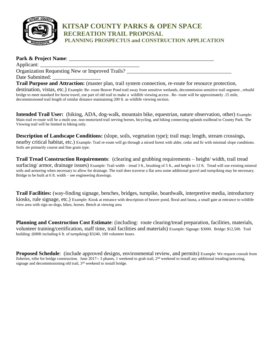

#### **KITSAP COUNTY PARKS & OPEN SPACE RECREATION TRAIL PROPOSAL PLANNING PROSPECTUS and CONSTRUCTION APPLICATION**

#### **Park & Project Name:**  $\blacksquare$ Applicant: Organization Requesting New or Improved Trails? Date Submitted: **Trail Purpose and Attraction:** (master plan, trail system connection, re-route for resource protection, destination, vistas, etc.) Example: Re- route Beaver Pond trail away from sensitive wetlands, decommission sensitive trail segment , rebuild bridge to meet standard for horse travel, use part of old trail to make a wildlife viewing access . Re- route will be approximately .15 mile,

decommissioned trail length of similar distance maintaining 200 ft. as wildlife viewing section.

**Intended Trail User:** (hiking, ADA, dog-walk, mountain bike, equestrian, nature observation, other) Example: Main trail re-route will be a multi use, non-motorized trail serving horses, bicycling, and hiking connecting uplands trailhead to County Park. The Viewing trail will be limited to hiking only.

**Description of Landscape Conditions:** (slope, soils, vegetation type); trail map; length, stream crossings, nearby critical habitat, etc.) Example: Trail re-route will go through a mixed forest with alder, cedar and fir with minimal slope conditions. Soils are primarily course and fine grain type.

**Trail Tread Construction Requirements**: (clearing and grubbing requirements – height/ width, trail tread surfacing/ armor, drainage issues) Example: Trail width – tread 3 ft., brushing of 5 ft., and height to 12 ft. Tread will use existing mineral soils and armoring when necessary to allow for drainage. The trail does traverse a flat area some additional gravel and turnpiking may be necessary. Bridge to be built at 6 ft. width – see engineering drawings.

**Trail Facilities:** (way-finding signage, benches, bridges, turnpike, boardwalk, interpretive media, introductory kiosks, rule signage, etc.) Example: Kiosk at entrance with description of beaver pond, floral and fauna, a small gate at entrance to wildlife view area with sign no dogs, bikes, horses. Bench at viewing area

**Planning and Construction Cost Estimate**: (including: route clearing/tread preparation, facilities, materials, volunteer training/certification, staff time, trail facilities and materials) Example: Signage: \$3000. Bridge: \$12,500. Trail building: (600ft including 6 ft. of turnpiking) \$3240, 100 volunteer hours.

**Proposed Schedule**: (include approved designs, environmental review, and permits) Example: We request consult from fisheries, tribe for bridge construction. June 2017-- 3 phases, 1 weekend to grub trail, 2<sup>nd</sup> weekend to install any additional treading/armoring, signage and decommissioning old trail, 3<sup>rd</sup> weekend to install bridge.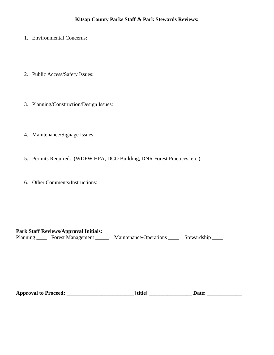- 1. Environmental Concerns:
- 2. Public Access/Safety Issues:
- 3. Planning/Construction/Design Issues:
- 4. Maintenance/Signage Issues:
- 5. Permits Required: (WDFW HPA, DCD Building, DNR Forest Practices, etc.)
- 6. Other Comments/Instructions:

#### **Park Staff Reviews/Approval Initials:**

Planning \_\_\_\_\_ Forest Management \_\_\_\_\_\_ Maintenance/Operations \_\_\_\_\_ Stewardship \_\_\_\_

| <b>Approval to Proceed:</b> | <b>Ttitle</b> |  |
|-----------------------------|---------------|--|
|                             |               |  |